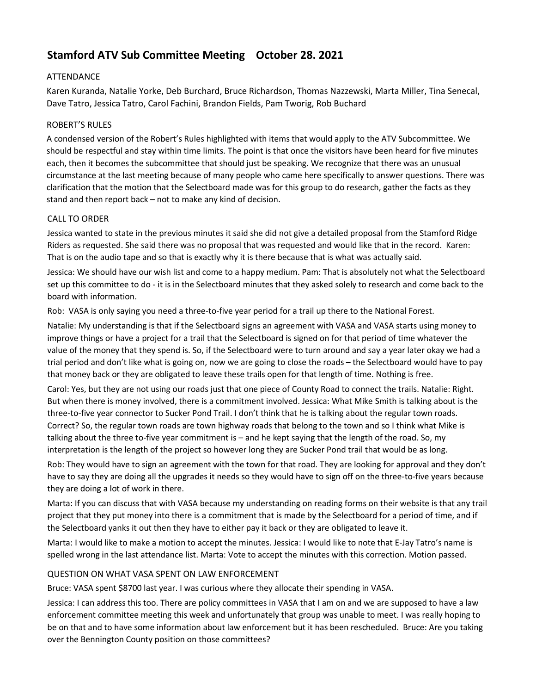# **Stamford ATV Sub Committee Meeting October 28. 2021**

# ATTENDANCE

Karen Kuranda, Natalie Yorke, Deb Burchard, Bruce Richardson, Thomas Nazzewski, Marta Miller, Tina Senecal, Dave Tatro, Jessica Tatro, Carol Fachini, Brandon Fields, Pam Tworig, Rob Buchard

# ROBERT'S RULES

A condensed version of the Robert's Rules highlighted with items that would apply to the ATV Subcommittee. We should be respectful and stay within time limits. The point is that once the visitors have been heard for five minutes each, then it becomes the subcommittee that should just be speaking. We recognize that there was an unusual circumstance at the last meeting because of many people who came here specifically to answer questions. There was clarification that the motion that the Selectboard made was for this group to do research, gather the facts as they stand and then report back – not to make any kind of decision.

# CALL TO ORDER

Jessica wanted to state in the previous minutes it said she did not give a detailed proposal from the Stamford Ridge Riders as requested. She said there was no proposal that was requested and would like that in the record. Karen: That is on the audio tape and so that is exactly why it is there because that is what was actually said.

Jessica: We should have our wish list and come to a happy medium. Pam: That is absolutely not what the Selectboard set up this committee to do - it is in the Selectboard minutes that they asked solely to research and come back to the board with information.

Rob: VASA is only saying you need a three-to-five year period for a trail up there to the National Forest.

Natalie: My understanding is that if the Selectboard signs an agreement with VASA and VASA starts using money to improve things or have a project for a trail that the Selectboard is signed on for that period of time whatever the value of the money that they spend is. So, if the Selectboard were to turn around and say a year later okay we had a trial period and don't like what is going on, now we are going to close the roads – the Selectboard would have to pay that money back or they are obligated to leave these trails open for that length of time. Nothing is free.

Carol: Yes, but they are not using our roads just that one piece of County Road to connect the trails. Natalie: Right. But when there is money involved, there is a commitment involved. Jessica: What Mike Smith is talking about is the three-to-five year connector to Sucker Pond Trail. I don't think that he is talking about the regular town roads. Correct? So, the regular town roads are town highway roads that belong to the town and so I think what Mike is talking about the three to-five year commitment is – and he kept saying that the length of the road. So, my interpretation is the length of the project so however long they are Sucker Pond trail that would be as long.

Rob: They would have to sign an agreement with the town for that road. They are looking for approval and they don't have to say they are doing all the upgrades it needs so they would have to sign off on the three-to-five years because they are doing a lot of work in there.

Marta: If you can discuss that with VASA because my understanding on reading forms on their website is that any trail project that they put money into there is a commitment that is made by the Selectboard for a period of time, and if the Selectboard yanks it out then they have to either pay it back or they are obligated to leave it.

Marta: I would like to make a motion to accept the minutes. Jessica: I would like to note that E-Jay Tatro's name is spelled wrong in the last attendance list. Marta: Vote to accept the minutes with this correction. Motion passed.

# QUESTION ON WHAT VASA SPENT ON LAW ENFORCEMENT

Bruce: VASA spent \$8700 last year. I was curious where they allocate their spending in VASA.

Jessica: I can address this too. There are policy committees in VASA that I am on and we are supposed to have a law enforcement committee meeting this week and unfortunately that group was unable to meet. I was really hoping to be on that and to have some information about law enforcement but it has been rescheduled. Bruce: Are you taking over the Bennington County position on those committees?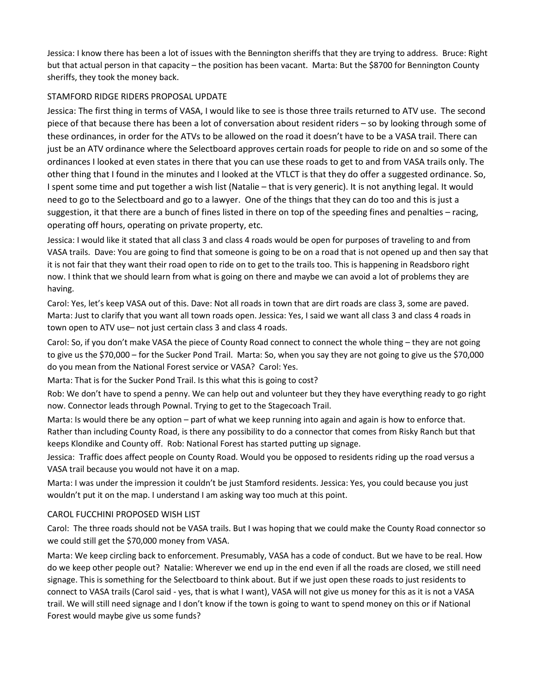Jessica: I know there has been a lot of issues with the Bennington sheriffs that they are trying to address. Bruce: Right but that actual person in that capacity – the position has been vacant. Marta: But the \$8700 for Bennington County sheriffs, they took the money back.

# STAMFORD RIDGE RIDERS PROPOSAL UPDATE

Jessica: The first thing in terms of VASA, I would like to see is those three trails returned to ATV use. The second piece of that because there has been a lot of conversation about resident riders – so by looking through some of these ordinances, in order for the ATVs to be allowed on the road it doesn't have to be a VASA trail. There can just be an ATV ordinance where the Selectboard approves certain roads for people to ride on and so some of the ordinances I looked at even states in there that you can use these roads to get to and from VASA trails only. The other thing that I found in the minutes and I looked at the VTLCT is that they do offer a suggested ordinance. So, I spent some time and put together a wish list (Natalie – that is very generic). It is not anything legal. It would need to go to the Selectboard and go to a lawyer. One of the things that they can do too and this is just a suggestion, it that there are a bunch of fines listed in there on top of the speeding fines and penalties – racing, operating off hours, operating on private property, etc.

Jessica: I would like it stated that all class 3 and class 4 roads would be open for purposes of traveling to and from VASA trails. Dave: You are going to find that someone is going to be on a road that is not opened up and then say that it is not fair that they want their road open to ride on to get to the trails too. This is happening in Readsboro right now. I think that we should learn from what is going on there and maybe we can avoid a lot of problems they are having.

Carol: Yes, let's keep VASA out of this. Dave: Not all roads in town that are dirt roads are class 3, some are paved. Marta: Just to clarify that you want all town roads open. Jessica: Yes, I said we want all class 3 and class 4 roads in town open to ATV use– not just certain class 3 and class 4 roads.

Carol: So, if you don't make VASA the piece of County Road connect to connect the whole thing – they are not going to give us the \$70,000 – for the Sucker Pond Trail. Marta: So, when you say they are not going to give us the \$70,000 do you mean from the National Forest service or VASA? Carol: Yes.

Marta: That is for the Sucker Pond Trail. Is this what this is going to cost?

Rob: We don't have to spend a penny. We can help out and volunteer but they they have everything ready to go right now. Connector leads through Pownal. Trying to get to the Stagecoach Trail.

Marta: Is would there be any option – part of what we keep running into again and again is how to enforce that. Rather than including County Road, is there any possibility to do a connector that comes from Risky Ranch but that keeps Klondike and County off. Rob: National Forest has started putting up signage.

Jessica: Traffic does affect people on County Road. Would you be opposed to residents riding up the road versus a VASA trail because you would not have it on a map.

Marta: I was under the impression it couldn't be just Stamford residents. Jessica: Yes, you could because you just wouldn't put it on the map. I understand I am asking way too much at this point.

# CAROL FUCCHINI PROPOSED WISH LIST

Carol: The three roads should not be VASA trails. But I was hoping that we could make the County Road connector so we could still get the \$70,000 money from VASA.

Marta: We keep circling back to enforcement. Presumably, VASA has a code of conduct. But we have to be real. How do we keep other people out? Natalie: Wherever we end up in the end even if all the roads are closed, we still need signage. This is something for the Selectboard to think about. But if we just open these roads to just residents to connect to VASA trails (Carol said - yes, that is what I want), VASA will not give us money for this as it is not a VASA trail. We will still need signage and I don't know if the town is going to want to spend money on this or if National Forest would maybe give us some funds?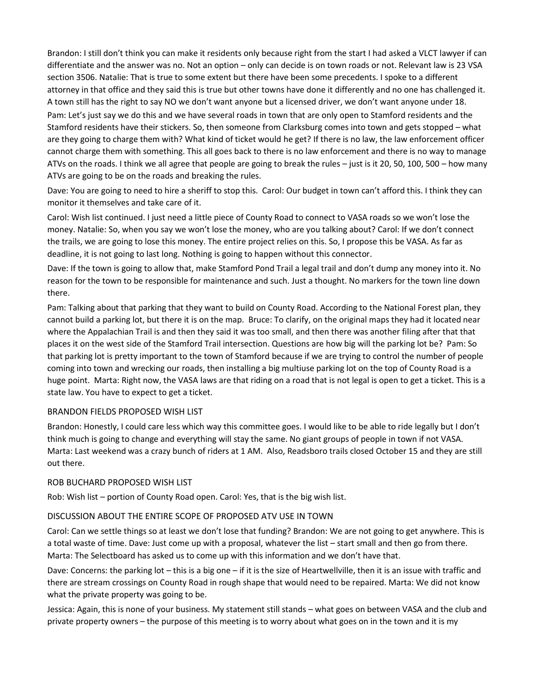Brandon: I still don't think you can make it residents only because right from the start I had asked a VLCT lawyer if can differentiate and the answer was no. Not an option – only can decide is on town roads or not. Relevant law is 23 VSA section 3506. Natalie: That is true to some extent but there have been some precedents. I spoke to a different attorney in that office and they said this is true but other towns have done it differently and no one has challenged it. A town still has the right to say NO we don't want anyone but a licensed driver, we don't want anyone under 18.

Pam: Let's just say we do this and we have several roads in town that are only open to Stamford residents and the Stamford residents have their stickers. So, then someone from Clarksburg comes into town and gets stopped – what are they going to charge them with? What kind of ticket would he get? If there is no law, the law enforcement officer cannot charge them with something. This all goes back to there is no law enforcement and there is no way to manage ATVs on the roads. I think we all agree that people are going to break the rules – just is it 20, 50, 100, 500 – how many ATVs are going to be on the roads and breaking the rules.

Dave: You are going to need to hire a sheriff to stop this. Carol: Our budget in town can't afford this. I think they can monitor it themselves and take care of it.

Carol: Wish list continued. I just need a little piece of County Road to connect to VASA roads so we won't lose the money. Natalie: So, when you say we won't lose the money, who are you talking about? Carol: If we don't connect the trails, we are going to lose this money. The entire project relies on this. So, I propose this be VASA. As far as deadline, it is not going to last long. Nothing is going to happen without this connector.

Dave: If the town is going to allow that, make Stamford Pond Trail a legal trail and don't dump any money into it. No reason for the town to be responsible for maintenance and such. Just a thought. No markers for the town line down there.

Pam: Talking about that parking that they want to build on County Road. According to the National Forest plan, they cannot build a parking lot, but there it is on the map. Bruce: To clarify, on the original maps they had it located near where the Appalachian Trail is and then they said it was too small, and then there was another filing after that that places it on the west side of the Stamford Trail intersection. Questions are how big will the parking lot be? Pam: So that parking lot is pretty important to the town of Stamford because if we are trying to control the number of people coming into town and wrecking our roads, then installing a big multiuse parking lot on the top of County Road is a huge point. Marta: Right now, the VASA laws are that riding on a road that is not legal is open to get a ticket. This is a state law. You have to expect to get a ticket.

### BRANDON FIELDS PROPOSED WISH LIST

Brandon: Honestly, I could care less which way this committee goes. I would like to be able to ride legally but I don't think much is going to change and everything will stay the same. No giant groups of people in town if not VASA. Marta: Last weekend was a crazy bunch of riders at 1 AM. Also, Readsboro trails closed October 15 and they are still out there.

#### ROB BUCHARD PROPOSED WISH LIST

Rob: Wish list – portion of County Road open. Carol: Yes, that is the big wish list.

### DISCUSSION ABOUT THE ENTIRE SCOPE OF PROPOSED ATV USE IN TOWN

Carol: Can we settle things so at least we don't lose that funding? Brandon: We are not going to get anywhere. This is a total waste of time. Dave: Just come up with a proposal, whatever the list – start small and then go from there. Marta: The Selectboard has asked us to come up with this information and we don't have that.

Dave: Concerns: the parking lot – this is a big one – if it is the size of Heartwellville, then it is an issue with traffic and there are stream crossings on County Road in rough shape that would need to be repaired. Marta: We did not know what the private property was going to be.

Jessica: Again, this is none of your business. My statement still stands – what goes on between VASA and the club and private property owners – the purpose of this meeting is to worry about what goes on in the town and it is my